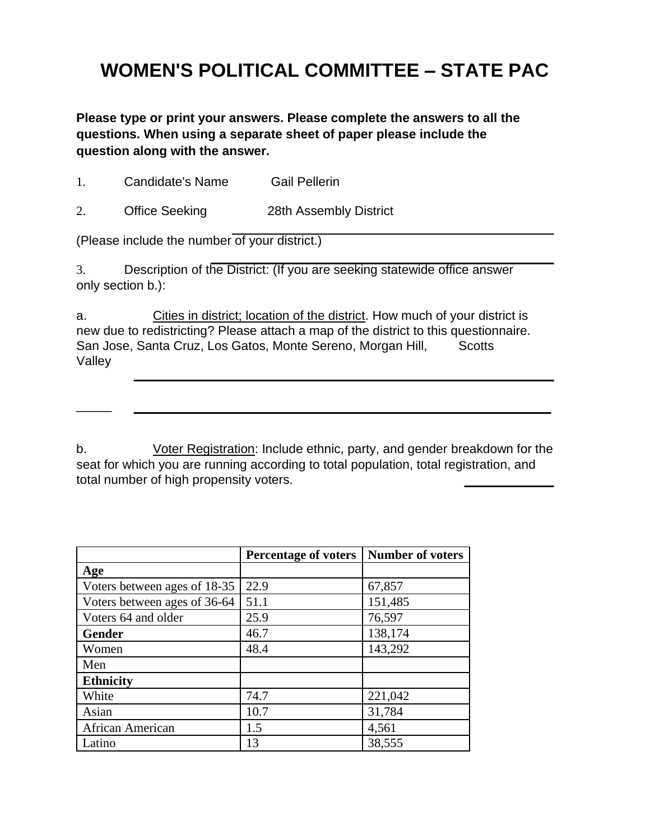# **WOMEN'S POLITICAL COMMITTEE – STATE PAC**

**Please type or print your answers. Please complete the answers to all the questions. When using a separate sheet of paper please include the question along with the answer.**

1. Candidate's Name Gail Pellerin

2. Office Seeking 28th Assembly District

(Please include the number of your district.)

 $\overline{\phantom{a}}$ 

3. Description of the District: (If you are seeking statewide office answer only section b.):

a. Cities in district; location of the district. How much of your district is new due to redistricting? Please attach a map of the district to this questionnaire. San Jose, Santa Cruz, Los Gatos, Monte Sereno, Morgan Hill, Scotts Valley

b. Voter Registration: Include ethnic, party, and gender breakdown for the seat for which you are running according to total population, total registration, and total number of high propensity voters.

|                              | <b>Percentage of voters</b> | Number of voters |
|------------------------------|-----------------------------|------------------|
| Age                          |                             |                  |
| Voters between ages of 18-35 | 22.9                        | 67,857           |
| Voters between ages of 36-64 | 51.1                        | 151,485          |
| Voters 64 and older          | 25.9                        | 76,597           |
| <b>Gender</b>                | 46.7                        | 138,174          |
| Women                        | 48.4                        | 143,292          |
| Men                          |                             |                  |
| <b>Ethnicity</b>             |                             |                  |
| White                        | 74.7                        | 221,042          |
| Asian                        | 10.7                        | 31,784           |
| African American             | 1.5                         | 4,561            |
| Latino                       | 13                          | 38,555           |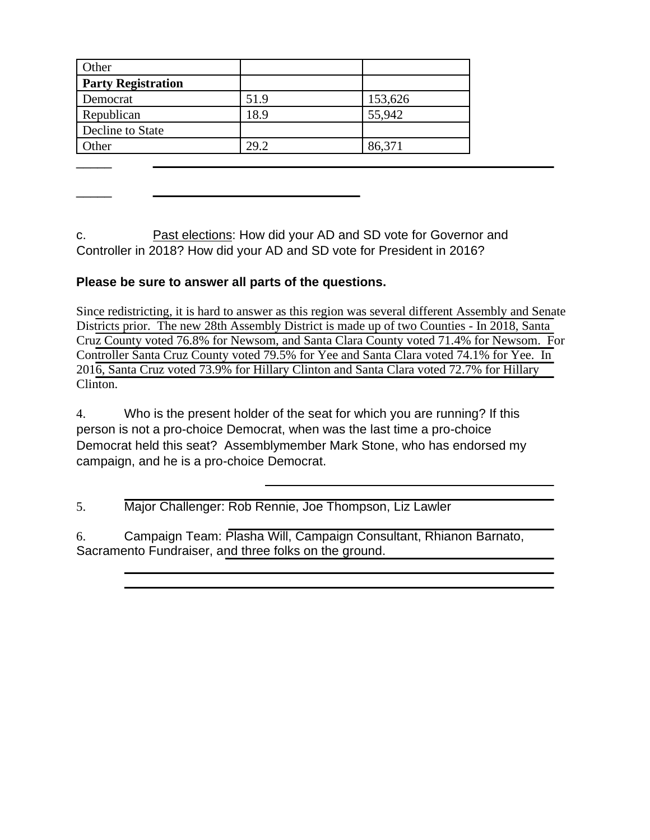| Other                     |      |         |
|---------------------------|------|---------|
| <b>Party Registration</b> |      |         |
| Democrat                  | 51.9 | 153,626 |
| Republican                | 18.9 | 55,942  |
| Decline to State          |      |         |
| Other                     | 29.2 | 86,371  |
|                           |      |         |

c. Past elections: How did your AD and SD vote for Governor and Controller in 2018? How did your AD and SD vote for President in 2016?

#### **Please be sure to answer all parts of the questions.**

 $\overline{\phantom{a}}$ 

Since redistricting, it is hard to answer as this region was several different Assembly and Senate Districts prior. The new 28th Assembly District is made up of two Counties - In 2018, Santa Cruz County voted 76.8% for Newsom, and Santa Clara County voted 71.4% for Newsom. For Controller Santa Cruz County voted 79.5% for Yee and Santa Clara voted 74.1% for Yee. In 2016, Santa Cruz voted 73.9% for Hillary Clinton and Santa Clara voted 72.7% for Hillary Clinton.

4. Who is the present holder of the seat for which you are running? If this person is not a pro-choice Democrat, when was the last time a pro-choice Democrat held this seat? Assemblymember Mark Stone, who has endorsed my campaign, and he is a pro-choice Democrat.

5. Major Challenger: Rob Rennie, Joe Thompson, Liz Lawler

6. Campaign Team: Plasha Will, Campaign Consultant, Rhianon Barnato, Sacramento Fundraiser, and three folks on the ground.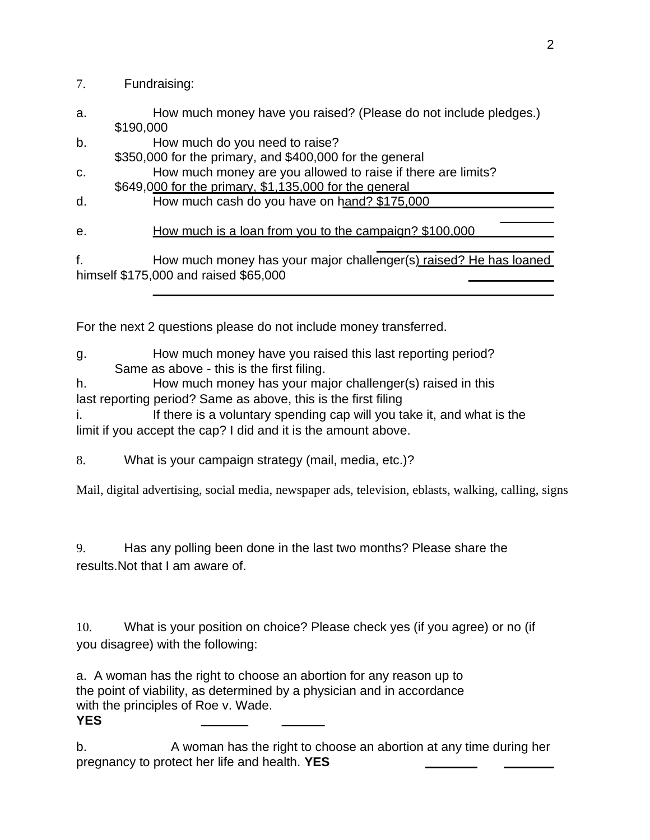### 7. Fundraising:

- a. How much money have you raised? (Please do not include pledges.) \$190,000
- b. How much do you need to raise?
- \$350,000 for the primary, and \$400,000 for the general c. How much money are you allowed to raise if there are limits?
- \$649,000 for the primary, \$1,135,000 for the general
- d. How much cash do you have on hand? \$175,000

e. How much is a loan from you to the campaign? \$100,000

f. How much money has your major challenger(s) raised? He has loaned himself \$175,000 and raised \$65,000

For the next 2 questions please do not include money transferred.

#### g. How much money have you raised this last reporting period? Same as above - this is the first filing.

h. How much money has your major challenger(s) raised in this last reporting period? Same as above, this is the first filing

i. If there is a voluntary spending cap will you take it, and what is the

limit if you accept the cap? I did and it is the amount above.

8. What is your campaign strategy (mail, media, etc.)?

Mail, digital advertising, social media, newspaper ads, television, eblasts, walking, calling, signs

9. Has any polling been done in the last two months? Please share the results.Not that I am aware of.

10. What is your position on choice? Please check yes (if you agree) or no (if you disagree) with the following:

a. A woman has the right to choose an abortion for any reason up to the point of viability, as determined by a physician and in accordance with the principles of Roe v. Wade. **YES**

b. A woman has the right to choose an abortion at any time during her pregnancy to protect her life and health. **YES**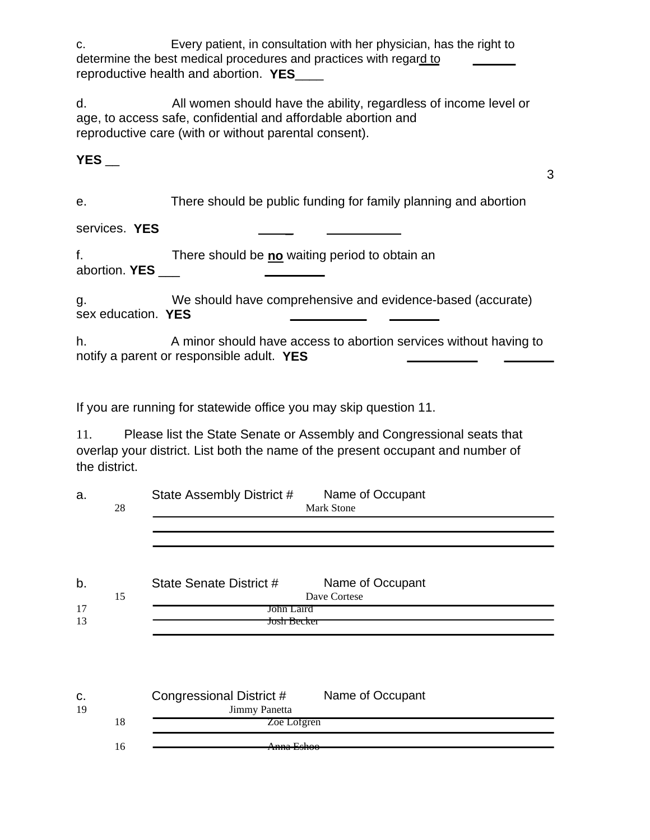c. Every patient, in consultation with her physician, has the right to determine the best medical procedures and practices with regard to reproductive health and abortion. **YES**\_\_\_\_

d. All women should have the ability, regardless of income level or age, to access safe, confidential and affordable abortion and reproductive care (with or without parental consent).

## **YES** \_\_

3

e. There should be public funding for family planning and abortion

services. **YES** \_

f. There should be **no** waiting period to obtain an abortion. **YES** \_\_\_

g. We should have comprehensive and evidence-based (accurate) sex education. **YES**

h. A minor should have access to abortion services without having to notify a parent or responsible adult. **YES**

If you are running for statewide office you may skip question 11.

11. Please list the State Senate or Assembly and Congressional seats that overlap your district. List both the name of the present occupant and number of the district.

| a. |    | State Assembly District #<br>Name of Occupant |  |  |  |
|----|----|-----------------------------------------------|--|--|--|
|    | 28 | <b>Mark Stone</b>                             |  |  |  |
|    |    |                                               |  |  |  |
|    |    |                                               |  |  |  |
|    |    |                                               |  |  |  |
| b. |    | Name of Occupant<br>State Senate District #   |  |  |  |
|    | 15 | Dave Cortese                                  |  |  |  |
| 17 |    | John Laird                                    |  |  |  |
| 13 |    | <del>Josh Becker</del>                        |  |  |  |
|    |    |                                               |  |  |  |
|    |    |                                               |  |  |  |
|    |    |                                               |  |  |  |
|    |    |                                               |  |  |  |
| C. |    | Name of Occupant<br>Congressional District #  |  |  |  |
| 19 |    | Jimmy Panetta                                 |  |  |  |
|    | 18 | Zoe Lofgren                                   |  |  |  |
|    |    |                                               |  |  |  |

16 Anna Eshoo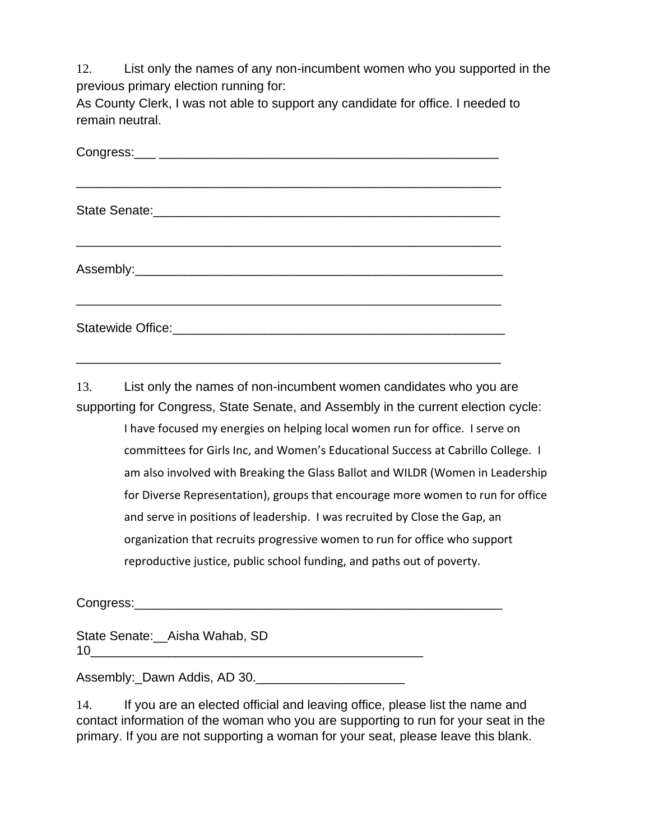12. List only the names of any non-incumbent women who you supported in the previous primary election running for:

As County Clerk, I was not able to support any candidate for office. I needed to remain neutral.

\_\_\_\_\_\_\_\_\_\_\_\_\_\_\_\_\_\_\_\_\_\_\_\_\_\_\_\_\_\_\_\_\_\_\_\_\_\_\_\_\_\_\_\_\_\_\_\_\_\_\_\_\_\_\_\_\_\_\_\_

13. List only the names of non-incumbent women candidates who you are supporting for Congress, State Senate, and Assembly in the current election cycle:

> I have focused my energies on helping local women run for office. I serve on committees for Girls Inc, and Women's Educational Success at Cabrillo College. I am also involved with Breaking the Glass Ballot and WILDR (Women in Leadership for Diverse Representation), groups that encourage more women to run for office and serve in positions of leadership. I was recruited by Close the Gap, an organization that recruits progressive women to run for office who support reproductive justice, public school funding, and paths out of poverty.

Congress:\_\_\_\_\_\_\_\_\_\_\_\_\_\_\_\_\_\_\_\_\_\_\_\_\_\_\_\_\_\_\_\_\_\_\_\_\_\_\_\_\_\_\_\_\_\_\_\_\_\_\_\_

State Senate: Aisha Wahab, SD 10\_\_\_\_\_\_\_\_\_\_\_\_\_\_\_\_\_\_\_\_\_\_\_\_\_\_\_\_\_\_\_\_\_\_\_\_\_\_\_\_\_\_\_\_\_\_\_

Assembly: Dawn Addis, AD 30.

14. If you are an elected official and leaving office, please list the name and contact information of the woman who you are supporting to run for your seat in the primary. If you are not supporting a woman for your seat, please leave this blank.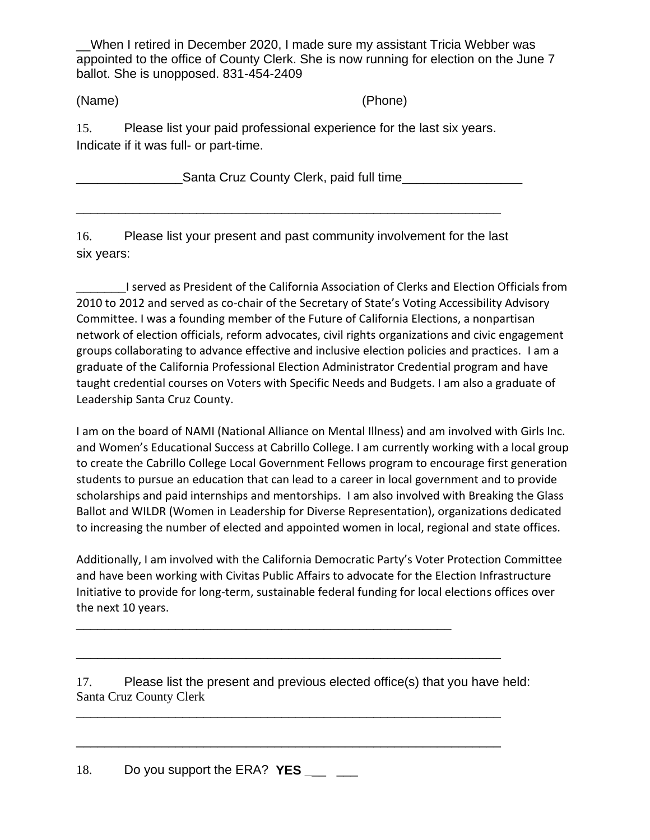\_\_When I retired in December 2020, I made sure my assistant Tricia Webber was appointed to the office of County Clerk. She is now running for election on the June 7 ballot. She is unopposed. 831-454-2409

(Name) (Phone)

15. Please list your paid professional experience for the last six years. Indicate if it was full- or part-time.

\_\_\_\_\_\_\_\_\_\_\_\_\_\_\_Santa Cruz County Clerk, paid full time\_\_\_\_\_\_\_\_\_\_\_\_\_\_\_\_\_

\_\_\_\_\_\_\_\_\_\_\_\_\_\_\_\_\_\_\_\_\_\_\_\_\_\_\_\_\_\_\_\_\_\_\_\_\_\_\_\_\_\_\_\_\_\_\_\_\_\_\_\_\_\_\_\_\_\_\_\_

16. Please list your present and past community involvement for the last six years:

\_\_\_\_\_\_\_I served as President of the California Association of Clerks and Election Officials from 2010 to 2012 and served as co-chair of the Secretary of State's Voting Accessibility Advisory Committee. I was a founding member of the Future of California Elections, a nonpartisan network of election officials, reform advocates, civil rights organizations and civic engagement groups collaborating to advance effective and inclusive election policies and practices. I am a graduate of the California Professional Election Administrator Credential program and have taught credential courses on Voters with Specific Needs and Budgets. I am also a graduate of Leadership Santa Cruz County.

I am on the board of NAMI (National Alliance on Mental Illness) and am involved with Girls Inc. and Women's Educational Success at Cabrillo College. I am currently working with a local group to create the Cabrillo College Local Government Fellows program to encourage first generation students to pursue an education that can lead to a career in local government and to provide scholarships and paid internships and mentorships. I am also involved with Breaking the Glass Ballot and WILDR (Women in Leadership for Diverse Representation), organizations dedicated to increasing the number of elected and appointed women in local, regional and state offices.

Additionally, I am involved with the California Democratic Party's Voter Protection Committee and have been working with Civitas Public Affairs to advocate for the Election Infrastructure Initiative to provide for long-term, sustainable federal funding for local elections offices over the next 10 years.

17. Please list the present and previous elected office(s) that you have held: Santa Cruz County Clerk

\_\_\_\_\_\_\_\_\_\_\_\_\_\_\_\_\_\_\_\_\_\_\_\_\_\_\_\_\_\_\_\_\_\_\_\_\_\_\_\_\_\_\_\_\_\_\_\_\_\_\_\_\_\_\_\_\_\_\_\_

\_\_\_\_\_\_\_\_\_\_\_\_\_\_\_\_\_\_\_\_\_\_\_\_\_\_\_\_\_\_\_\_\_\_\_\_\_\_\_\_\_\_\_\_\_\_\_\_\_\_\_\_\_\_\_\_\_\_\_\_

\_\_\_\_\_\_\_\_\_\_\_\_\_\_\_\_\_\_\_\_\_\_\_\_\_\_\_\_\_\_\_\_\_\_\_\_\_\_\_\_\_\_\_\_\_\_\_\_\_\_\_\_\_\_\_\_\_\_\_\_

\_\_\_\_\_\_\_\_\_\_\_\_\_\_\_\_\_\_\_\_\_\_\_\_\_\_\_\_\_\_\_\_\_\_\_\_\_\_\_\_\_\_\_\_\_\_\_\_\_\_\_\_\_

18. Do you support the ERA? **YES** \_\_\_ \_\_